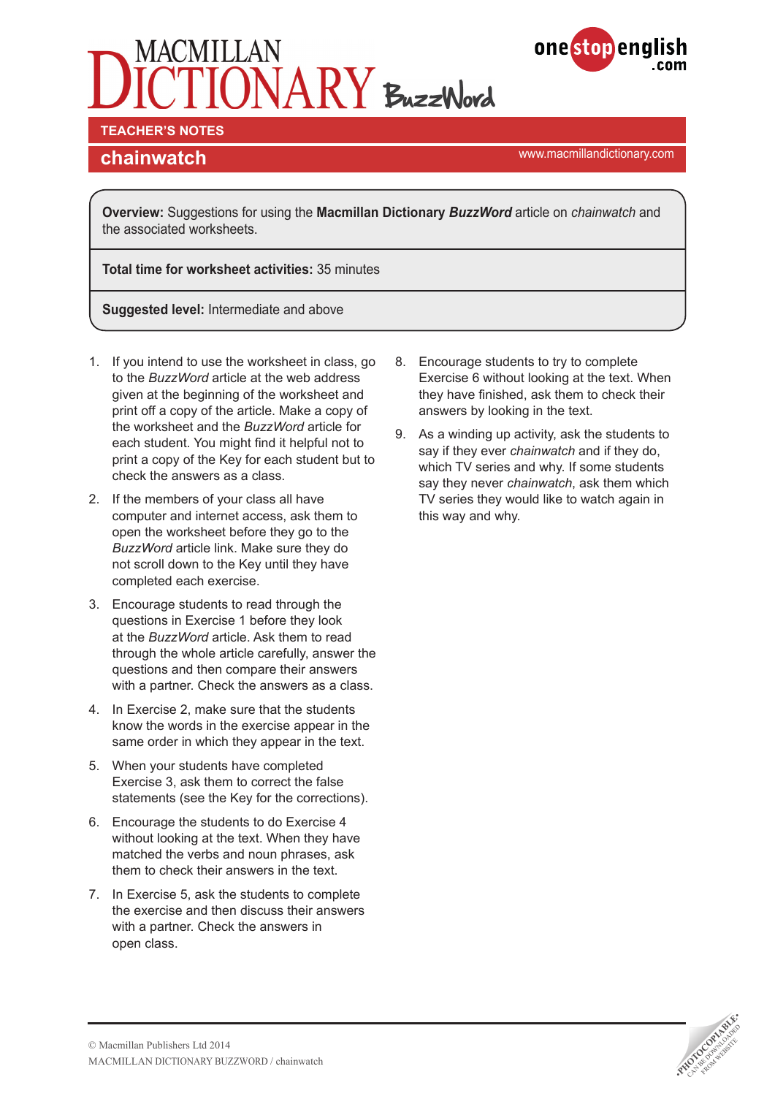



**TEACHER'S NOTES** 

<www.macmillandictionary.com> **chainwatch**

**Overview:** Suggestions for using the **Macmillan Dictionary** *BuzzWord* article on *chainwatch* and the associated worksheets.

**Total time for worksheet activities:** 35 minutes

**Suggested level:** Intermediate and above

- 1. If you intend to use the worksheet in class, go to the *BuzzWord* article at the web address given at the beginning of the worksheet and print off a copy of the article. Make a copy of the worksheet and the *BuzzWord* article for each student. You might find it helpful not to print a copy of the Key for each student but to check the answers as a class.
- 2. If the members of your class all have computer and internet access, ask them to open the worksheet before they go to the *BuzzWord* article link. Make sure they do not scroll down to the Key until they have completed each exercise.
- 3. Encourage students to read through the questions in Exercise 1 before they look at the *BuzzWord* article. Ask them to read through the whole article carefully, answer the questions and then compare their answers with a partner. Check the answers as a class.
- 4. In Exercise 2, make sure that the students know the words in the exercise appear in the same order in which they appear in the text.
- 5. When your students have completed Exercise 3, ask them to correct the false statements (see the Key for the corrections).
- 6. Encourage the students to do Exercise 4 without looking at the text. When they have matched the verbs and noun phrases, ask them to check their answers in the text.
- 7. In Exercise 5, ask the students to complete the exercise and then discuss their answers with a partner. Check the answers in open class.
- 8. Encourage students to try to complete Exercise 6 without looking at the text. When they have finished, ask them to check their answers by looking in the text.
- 9. As a winding up activity, ask the students to say if they ever *chainwatch* and if they do, which TV series and why. If some students say they never *chainwatch*, ask them which TV series they would like to watch again in this way and why.

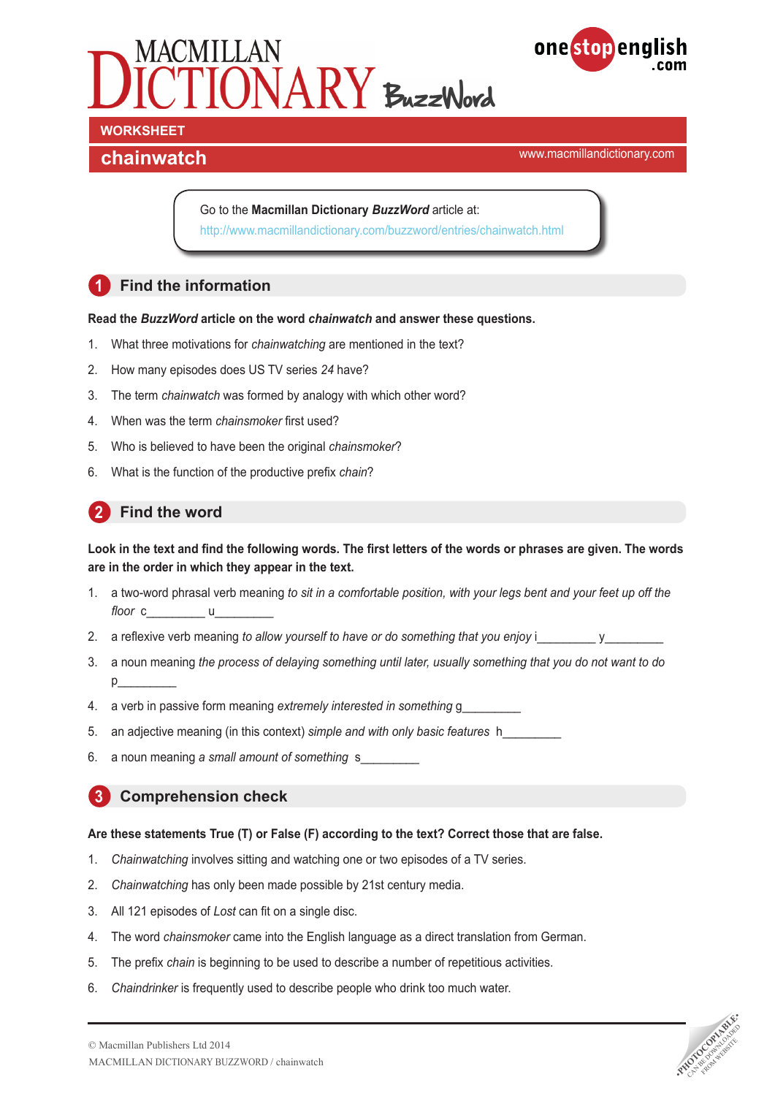



<www.macmillandictionary.com> **chainwatch**

Go to the **Macmillan Dictionary** *BuzzWord* article at: <http://www.macmillandictionary.com/buzzword/entries/chainwatch.html>

# **1 Find the information**

#### **Read the** *BuzzWord* **article on the word** *chainwatch* **and answer these questions.**

- 1. What three motivations for *chainwatching* are mentioned in the text?
- 2. How many episodes does US TV series *24* have?
- 3. The term *chainwatch* was formed by analogy with which other word?
- 4. When was the term *chainsmoker* first used?
- 5. Who is believed to have been the original *chainsmoker*?
- 6. What is the function of the productive prefix *chain*?

# **2 Find the word**

### **Look in the text and find the following words. The first letters of the words or phrases are given. The words are in the order in which they appear in the text.**

- 1. a two-word phrasal verb meaning *to sit in a comfortable position, with your legs bent and your feet up off the floor* c u
- 2. a reflexive verb meaning *to allow yourself to have or do something that you enjoy* i
- 3. a noun meaning *the process of delaying something until later, usually something that you do not want to do*  $p_{\perp}$
- 4. a verb in passive form meaning *extremely interested in something* g\_\_\_\_\_\_\_\_\_
- 5. an adjective meaning (in this context) *simple and with only basic features* h\_\_\_\_\_\_\_\_\_
- 6. a noun meaning *a small amount of something* s\_\_\_\_\_\_\_\_\_

### **3 Comprehension check**

#### **Are these statements True (T) or False (F) according to the text? Correct those that are false.**

- 1. *Chainwatching* involves sitting and watching one or two episodes of a TV series.
- 2. *Chainwatching* has only been made possible by 21st century media.
- 3. All 121 episodes of *Lost* can fit on a single disc.
- 4. The word *chainsmoker* came into the English language as a direct translation from German.
- 5. The prefix *chain* is beginning to be used to describe a number of repetitious activities.
- 6. *Chaindrinker* is frequently used to describe people who drink too much water.

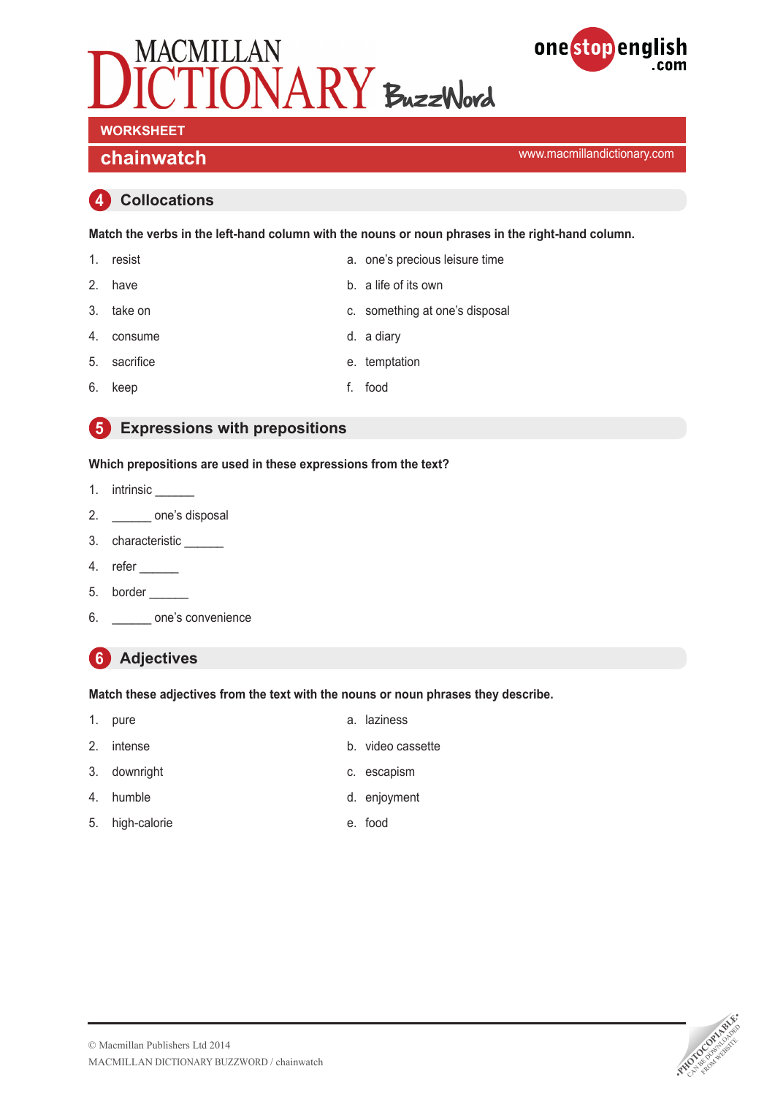



<www.macmillandictionary.com> **chainwatch**

## **4 Collocations**

**Match the verbs in the left-hand column with the nouns or noun phrases in the right-hand column.**

- 1. resist a. one's precious leisure time 2. have b. a life of its own
- 3. take on c. something at one's disposal
- 4. consume d. a diary
- 5. sacrifice e. temptation
- 6. keep f. food
- 

# **5 Expressions with prepositions**

### **Which prepositions are used in these expressions from the text?**

- 1. intrinsic \_\_\_\_\_\_\_
- 2. \_\_\_\_\_\_\_\_ one's disposal
- 3. characteristic \_\_\_\_\_\_
- 4. refer \_\_\_\_\_\_
- 5. border
- 6. \_\_\_\_\_\_ one's convenience

# **6 Adjectives**

#### **Match these adjectives from the text with the nouns or noun phrases they describe.**

- 1. pure a. laziness
	-
- 2. intense b. video cassette
- 3. downright c. escapism
- 4. humble d. enjoyment
- 5. high-calorie e. food